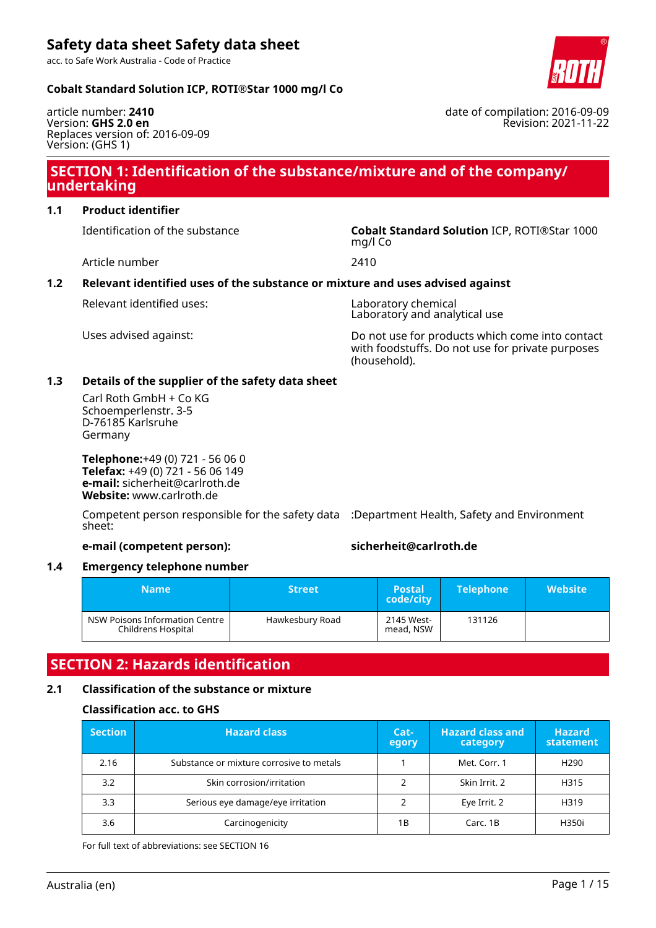acc. to Safe Work Australia - Code of Practice

#### **Cobalt Standard Solution ICP, ROTI®Star 1000 mg/l Co**

article number: **2410** Version: **GHS 2.0 en** Replaces version of: 2016-09-09 Version: (GHS 1)

# **SECTION 1: Identification of the substance/mixture and of the company/ undertaking**

# **1.1 Product identifier**

Identification of the substance **Cobalt Standard Solution** ICP, ROTI®Star 1000

Article number 2410

### **1.2 Relevant identified uses of the substance or mixture and uses advised against**

Uses advised against: Do not use for products which come into contact with foodstuffs. Do not use for private purposes (household).

### **1.3 Details of the supplier of the safety data sheet**

Carl Roth GmbH + Co KG Schoemperlenstr. 3-5 D-76185 Karlsruhe Germany

**Telephone:**+49 (0) 721 - 56 06 0 **Telefax:** +49 (0) 721 - 56 06 149 **e-mail:** sicherheit@carlroth.de **Website:** www.carlroth.de

Competent person responsible for the safety data :Department Health, Safety and Environment sheet:

### **e-mail (competent person): sicherheit@carlroth.de**

#### **1.4 Emergency telephone number**

| <b>Name</b>                                          | <b>Street</b>   | <b>Postal</b><br>code/city | <b>Telephone</b> | <b>Website</b> |
|------------------------------------------------------|-----------------|----------------------------|------------------|----------------|
| NSW Poisons Information Centre<br>Childrens Hospital | Hawkesbury Road | 2145 West-<br>mead, NSW    | 131126           |                |

# **SECTION 2: Hazards identification**

### **2.1 Classification of the substance or mixture**

#### **Classification acc. to GHS**

| <b>Section</b> | <b>Hazard class</b>                      | Cat-<br>egory | <b>Hazard class and</b><br>category | <b>Hazard</b><br>statement |
|----------------|------------------------------------------|---------------|-------------------------------------|----------------------------|
| 2.16           | Substance or mixture corrosive to metals |               | Met. Corr. 1                        | H <sub>290</sub>           |
| 3.2            | Skin corrosion/irritation                |               | Skin Irrit, 2                       | H315                       |
| 3.3            | Serious eye damage/eye irritation        |               | Eye Irrit. 2                        | H319                       |
| 3.6            | Carcinogenicity                          | 1B            | Carc, 1B                            | H350i                      |

For full text of abbreviations: see SECTION 16



date of compilation: 2016-09-09 Revision: 2021-11-22

mg/l Co

Relevant identified uses: Laboratory chemical

Laboratory and analytical use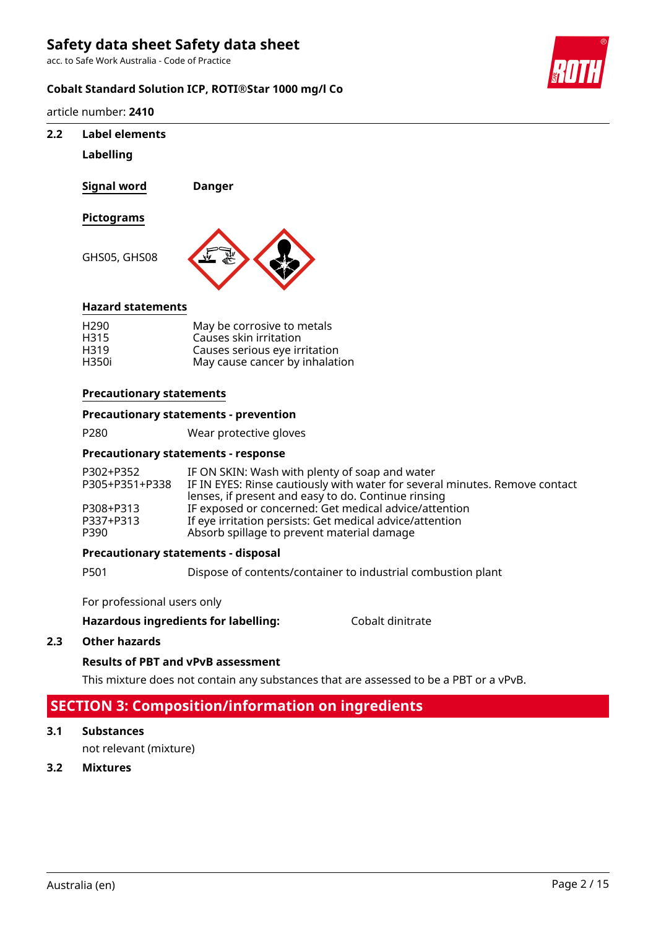acc. to Safe Work Australia - Code of Practice

### **Cobalt Standard Solution ICP, ROTI®Star 1000 mg/l Co**

article number: **2410**

### **2.2 Label elements**

#### **Labelling**

**Signal word Danger**

### **Pictograms**

GHS05, GHS08



#### **Hazard statements**

| H <sub>290</sub> | May be corrosive to metals     |
|------------------|--------------------------------|
| H315             | Causes skin irritation         |
| H <sub>319</sub> | Causes serious eye irritation  |
| H350i            | May cause cancer by inhalation |

#### **Precautionary statements**

#### **Precautionary statements - prevention**

P280 Wear protective gloves

# **Precautionary statements - response**

| P302+P352      | IF ON SKIN: Wash with plenty of soap and water                              |
|----------------|-----------------------------------------------------------------------------|
| P305+P351+P338 | IF IN EYES: Rinse cautiously with water for several minutes. Remove contact |
|                | lenses, if present and easy to do. Continue rinsing                         |
| P308+P313      | IF exposed or concerned: Get medical advice/attention                       |
| P337+P313      | If eye irritation persists: Get medical advice/attention                    |
| P390           | Absorb spillage to prevent material damage                                  |

#### **Precautionary statements - disposal**

P501 Dispose of contents/container to industrial combustion plant

For professional users only

#### **Hazardous ingredients for labelling:** Cobalt dinitrate

#### **2.3 Other hazards**

#### **Results of PBT and vPvB assessment**

This mixture does not contain any substances that are assessed to be a PBT or a vPvB.

# **SECTION 3: Composition/information on ingredients**

#### **3.1 Substances**

not relevant (mixture)

#### **3.2 Mixtures**

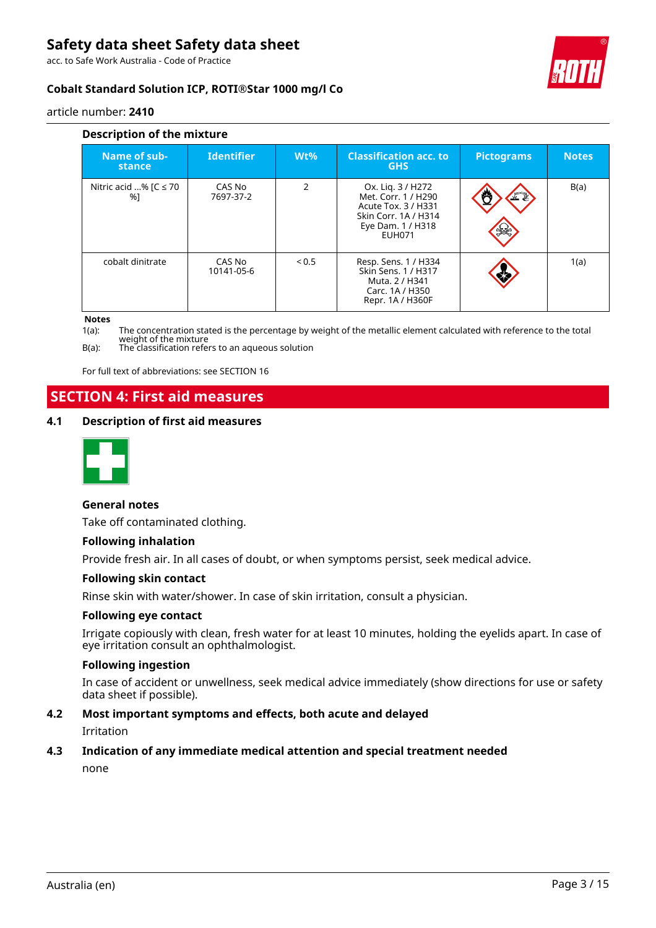acc. to Safe Work Australia - Code of Practice



# **Cobalt Standard Solution ICP, ROTI®Star 1000 mg/l Co**

article number: **2410**

| Description of the mixture      |                      |               |                                                                                                                               |                   |              |  |
|---------------------------------|----------------------|---------------|-------------------------------------------------------------------------------------------------------------------------------|-------------------|--------------|--|
| Name of sub-<br>stance          | <b>Identifier</b>    | $Wt\%$        | <b>Classification acc. to</b><br><b>GHS</b>                                                                                   | <b>Pictograms</b> | <b>Notes</b> |  |
| Nitric acid % $IC \le 70$<br>%1 | CAS No<br>7697-37-2  | $\mathcal{P}$ | Ox. Lig. 3 / H272<br>Met. Corr. 1 / H290<br>Acute Tox. 3 / H331<br>Skin Corr. 1A / H314<br>Eye Dam. 1 / H318<br><b>EUH071</b> | F                 | B(a)         |  |
| cobalt dinitrate                | CAS No<br>10141-05-6 | ${}_{0.5}$    | Resp. Sens. 1 / H334<br>Skin Sens. 1 / H317<br>Muta, 2 / H341<br>Carc. 1A / H350<br>Repr. 1A / H360F                          |                   | 1(a)         |  |

#### **Notes**

1(a): The concentration stated is the percentage by weight of the metallic element calculated with reference to the total weight of the mixture

B(a): The classification refers to an aqueous solution

For full text of abbreviations: see SECTION 16

# **SECTION 4: First aid measures**

#### **4.1 Description of first aid measures**



#### **General notes**

Take off contaminated clothing.

#### **Following inhalation**

Provide fresh air. In all cases of doubt, or when symptoms persist, seek medical advice.

#### **Following skin contact**

Rinse skin with water/shower. In case of skin irritation, consult a physician.

#### **Following eye contact**

Irrigate copiously with clean, fresh water for at least 10 minutes, holding the eyelids apart. In case of eye irritation consult an ophthalmologist.

#### **Following ingestion**

In case of accident or unwellness, seek medical advice immediately (show directions for use or safety data sheet if possible).

#### **4.2 Most important symptoms and effects, both acute and delayed**

Irritation

#### **4.3 Indication of any immediate medical attention and special treatment needed**

none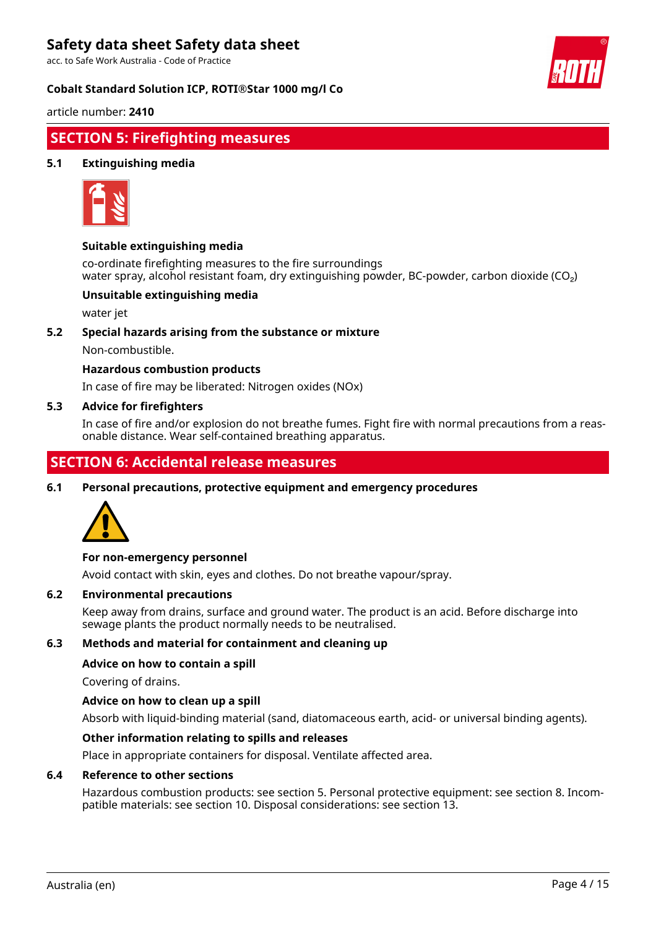acc. to Safe Work Australia - Code of Practice

#### **Cobalt Standard Solution ICP, ROTI®Star 1000 mg/l Co**



article number: **2410**

# **SECTION 5: Firefighting measures**

### **5.1 Extinguishing media**



#### **Suitable extinguishing media**

co-ordinate firefighting measures to the fire surroundings water spray, alcohol resistant foam, dry extinguishing powder, BC-powder, carbon dioxide (CO<sub>2</sub>)

#### **Unsuitable extinguishing media**

water jet

#### **5.2 Special hazards arising from the substance or mixture**

Non-combustible.

#### **Hazardous combustion products**

In case of fire may be liberated: Nitrogen oxides (NOx)

#### **5.3 Advice for firefighters**

In case of fire and/or explosion do not breathe fumes. Fight fire with normal precautions from a reasonable distance. Wear self-contained breathing apparatus.

# **SECTION 6: Accidental release measures**

**6.1 Personal precautions, protective equipment and emergency procedures**



#### **For non-emergency personnel**

Avoid contact with skin, eyes and clothes. Do not breathe vapour/spray.

#### **6.2 Environmental precautions**

Keep away from drains, surface and ground water. The product is an acid. Before discharge into sewage plants the product normally needs to be neutralised.

#### **6.3 Methods and material for containment and cleaning up**

#### **Advice on how to contain a spill**

Covering of drains.

#### **Advice on how to clean up a spill**

Absorb with liquid-binding material (sand, diatomaceous earth, acid- or universal binding agents).

#### **Other information relating to spills and releases**

Place in appropriate containers for disposal. Ventilate affected area.

#### **6.4 Reference to other sections**

Hazardous combustion products: see section 5. Personal protective equipment: see section 8. Incompatible materials: see section 10. Disposal considerations: see section 13.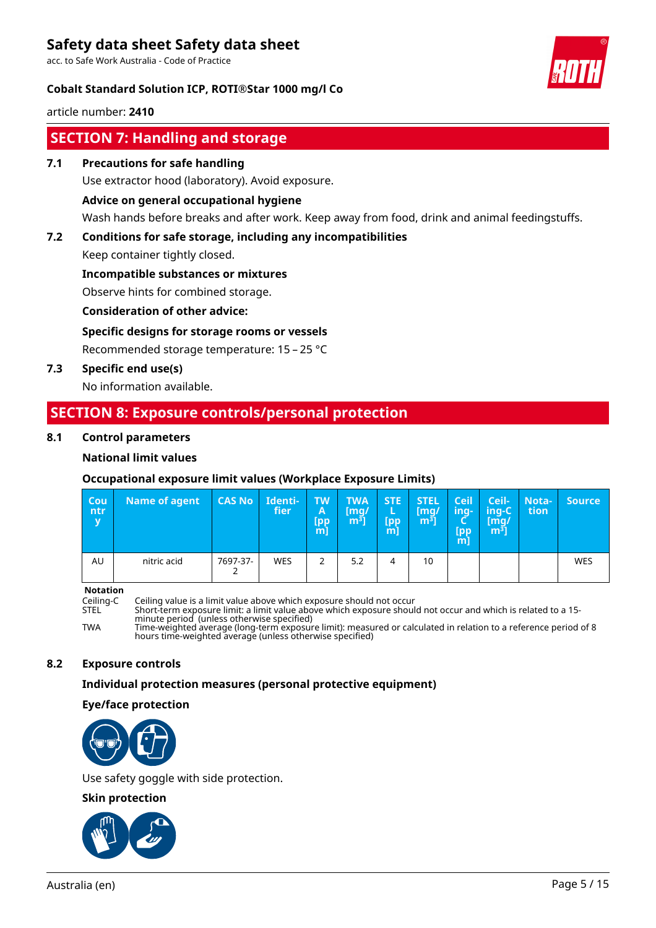acc. to Safe Work Australia - Code of Practice

### **Cobalt Standard Solution ICP, ROTI®Star 1000 mg/l Co**



article number: **2410**

# **SECTION 7: Handling and storage**

**7.1 Precautions for safe handling**

Use extractor hood (laboratory). Avoid exposure.

#### **Advice on general occupational hygiene**

Wash hands before breaks and after work. Keep away from food, drink and animal feedingstuffs.

### **7.2 Conditions for safe storage, including any incompatibilities**

Keep container tightly closed.

#### **Incompatible substances or mixtures**

Observe hints for combined storage.

#### **Consideration of other advice:**

# **Specific designs for storage rooms or vessels**

Recommended storage temperature: 15 – 25 °C

### **7.3 Specific end use(s)**

No information available.

# **SECTION 8: Exposure controls/personal protection**

#### **8.1 Control parameters**

### **National limit values**

### **Occupational exposure limit values (Workplace Exposure Limits)**

| <b>Cou</b><br>ntr<br>$\overline{\mathbf{v}}$ | <b>Name of agent</b> | CAS No   | Identi-<br>fier | <b>TW</b><br>A<br><b>Lpp</b><br>[m] | <b>TWA</b><br>[mq/<br>m <sup>3</sup> | <b>STE</b><br>[pp<br>$m$ ] | <b>STEL</b><br>[mg/<br>$m3$ ] | <b>Ceil</b><br>ing-<br>-<br>Lpp/<br>$m$ ] | <b>Ceil-</b><br>ing-C<br>$\mathsf{Im} q$<br>m <sup>3</sup> | Nota-<br>tion | <b>Source</b> |
|----------------------------------------------|----------------------|----------|-----------------|-------------------------------------|--------------------------------------|----------------------------|-------------------------------|-------------------------------------------|------------------------------------------------------------|---------------|---------------|
| AU                                           | nitric acid          | 7697-37- | <b>WES</b>      | 2                                   | 5.2                                  | 4                          | 10                            |                                           |                                                            |               | <b>WES</b>    |

**Notation**

Ceiling-C Ceiling value is a limit value above which exposure should not occur

STEL Short-term exposure limit: a limit value above which exposure should not occur and which is related to a 15 minute period (unless otherwise specified)

TWA Time-weighted average (long-term exposure limit): measured or calculated in relation to a reference period of 8 hours time-weighted average (unless otherwise specified)

### **8.2 Exposure controls**

#### **Individual protection measures (personal protective equipment)**

#### **Eye/face protection**



Use safety goggle with side protection.

#### **Skin protection**

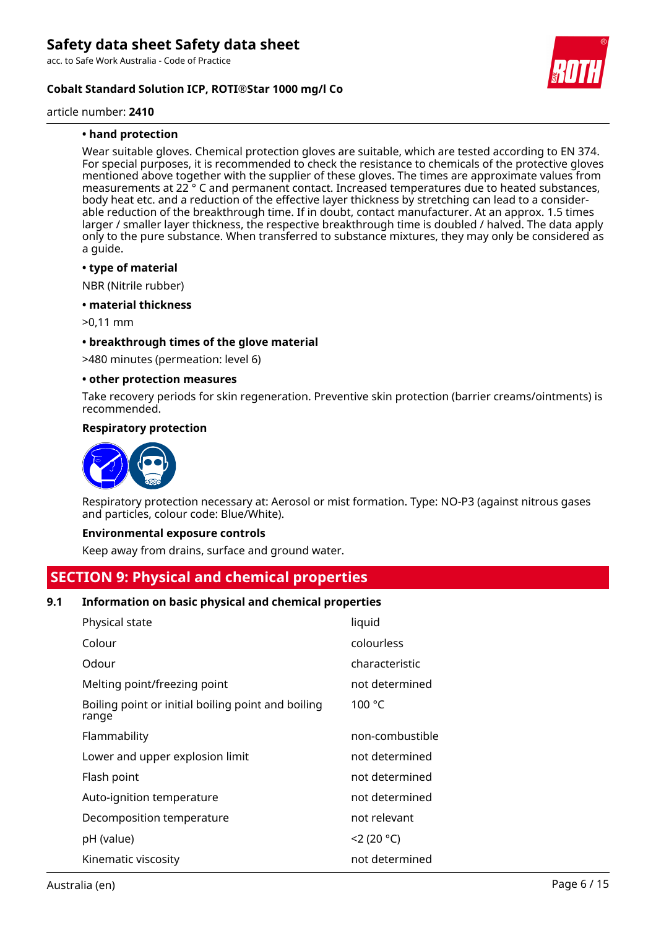acc. to Safe Work Australia - Code of Practice

### **Cobalt Standard Solution ICP, ROTI®Star 1000 mg/l Co**

#### article number: **2410**

### **• hand protection**

Wear suitable gloves. Chemical protection gloves are suitable, which are tested according to EN 374. For special purposes, it is recommended to check the resistance to chemicals of the protective gloves mentioned above together with the supplier of these gloves. The times are approximate values from measurements at 22 ° C and permanent contact. Increased temperatures due to heated substances, body heat etc. and a reduction of the effective layer thickness by stretching can lead to a considerable reduction of the breakthrough time. If in doubt, contact manufacturer. At an approx. 1.5 times larger / smaller layer thickness, the respective breakthrough time is doubled / halved. The data apply only to the pure substance. When transferred to substance mixtures, they may only be considered as a guide.

#### **• type of material**

NBR (Nitrile rubber)

#### **• material thickness**

>0,11 mm

#### **• breakthrough times of the glove material**

>480 minutes (permeation: level 6)

#### **• other protection measures**

Take recovery periods for skin regeneration. Preventive skin protection (barrier creams/ointments) is recommended.

#### **Respiratory protection**



Respiratory protection necessary at: Aerosol or mist formation. Type: NO-P3 (against nitrous gases and particles, colour code: Blue/White).

#### **Environmental exposure controls**

Keep away from drains, surface and ground water.

# **SECTION 9: Physical and chemical properties**

#### **9.1 Information on basic physical and chemical properties**

| Physical state                                              | liquid          |
|-------------------------------------------------------------|-----------------|
| Colour                                                      | colourless      |
| Odour                                                       | characteristic  |
| Melting point/freezing point                                | not determined  |
| Boiling point or initial boiling point and boiling<br>range | 100 °C          |
| Flammability                                                | non-combustible |
| Lower and upper explosion limit                             | not determined  |
| Flash point                                                 | not determined  |
| Auto-ignition temperature                                   | not determined  |
| Decomposition temperature                                   | not relevant    |
| pH (value)                                                  | 2(20 °C)        |
| Kinematic viscosity                                         | not determined  |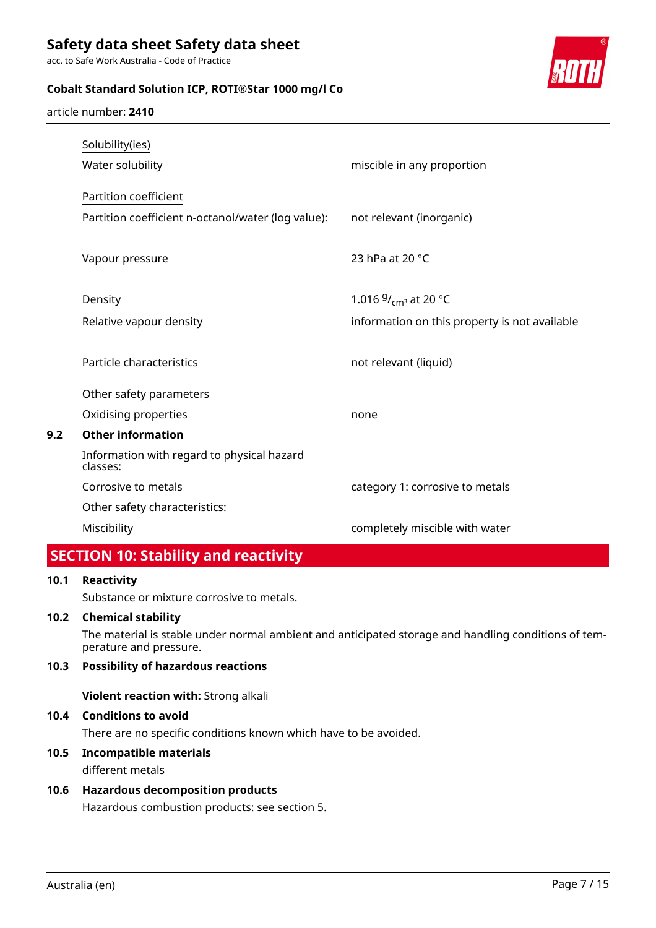acc. to Safe Work Australia - Code of Practice

# **Cobalt Standard Solution ICP, ROTI®Star 1000 mg/l Co**



article number: **2410**

|     | Solubility(ies)                                        |                                               |
|-----|--------------------------------------------------------|-----------------------------------------------|
|     | Water solubility                                       | miscible in any proportion                    |
|     | Partition coefficient                                  |                                               |
|     | Partition coefficient n-octanol/water (log value):     | not relevant (inorganic)                      |
|     | Vapour pressure                                        | 23 hPa at 20 °C                               |
|     | Density                                                | 1.016 $9/_{\text{cm}^3}$ at 20 °C             |
|     | Relative vapour density                                | information on this property is not available |
|     | Particle characteristics                               | not relevant (liquid)                         |
|     | Other safety parameters                                |                                               |
|     | Oxidising properties                                   | none                                          |
| 9.2 | <b>Other information</b>                               |                                               |
|     | Information with regard to physical hazard<br>classes: |                                               |
|     | Corrosive to metals                                    | category 1: corrosive to metals               |
|     | Other safety characteristics:                          |                                               |
|     | Miscibility                                            | completely miscible with water                |
|     |                                                        |                                               |

# **SECTION 10: Stability and reactivity**

# **10.1 Reactivity**

Substance or mixture corrosive to metals.

### **10.2 Chemical stability**

The material is stable under normal ambient and anticipated storage and handling conditions of temperature and pressure.

### **10.3 Possibility of hazardous reactions**

**Violent reaction with:** Strong alkali

### **10.4 Conditions to avoid**

There are no specific conditions known which have to be avoided.

# **10.5 Incompatible materials**

different metals

# **10.6 Hazardous decomposition products**

Hazardous combustion products: see section 5.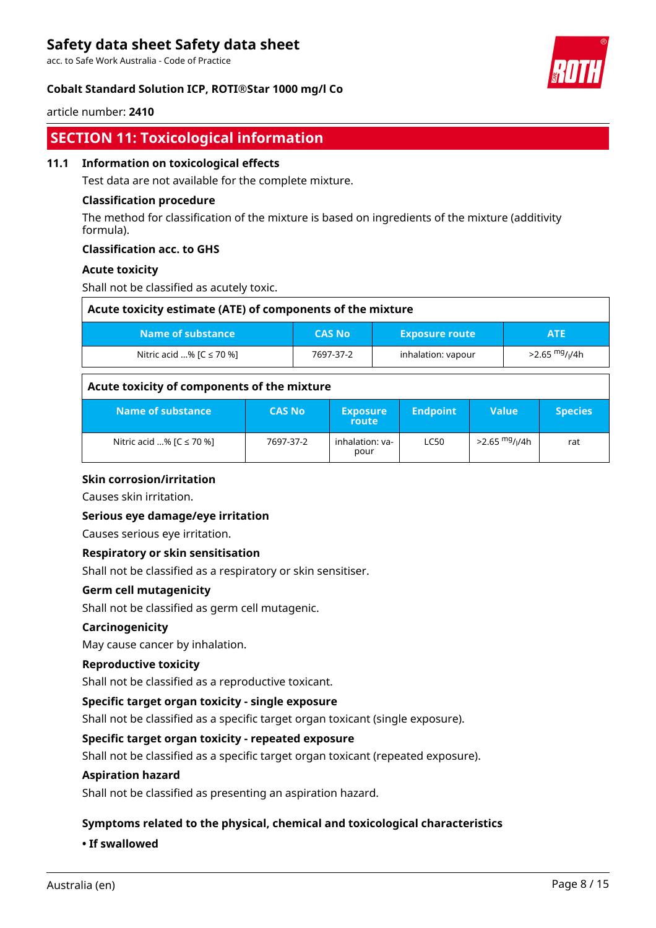acc. to Safe Work Australia - Code of Practice

### **Cobalt Standard Solution ICP, ROTI®Star 1000 mg/l Co**



#### article number: **2410**

# **SECTION 11: Toxicological information**

#### **11.1 Information on toxicological effects**

Test data are not available for the complete mixture.

#### **Classification procedure**

The method for classification of the mixture is based on ingredients of the mixture (additivity formula).

#### **Classification acc. to GHS**

#### **Acute toxicity**

Shall not be classified as acutely toxic.

| Acute toxicity estimate (ATE) of components of the mixture |               |                       |                           |  |  |  |
|------------------------------------------------------------|---------------|-----------------------|---------------------------|--|--|--|
| Name of substance                                          | <b>CAS No</b> | <b>Exposure route</b> | ATE                       |  |  |  |
| Nitric acid % $[C \le 70$ %]                               | 7697-37-2     | inhalation: vapour    | >2.65 <sup>mg</sup> /ı/4h |  |  |  |

#### **Acute toxicity of components of the mixture**

| Name of substance            | <b>CAS No</b> | <b>Exposure</b><br>route | <b>Endpoint</b> | Value                     | <b>Species</b> |
|------------------------------|---------------|--------------------------|-----------------|---------------------------|----------------|
| Nitric acid % $[C \le 70$ %] | 7697-37-2     | inhalation: va-<br>pour  | <b>LC50</b>     | >2.65 <sup>mg</sup> /ı/4h | rat            |

#### **Skin corrosion/irritation**

Causes skin irritation.

#### **Serious eye damage/eye irritation**

Causes serious eye irritation.

#### **Respiratory or skin sensitisation**

Shall not be classified as a respiratory or skin sensitiser.

#### **Germ cell mutagenicity**

Shall not be classified as germ cell mutagenic.

#### **Carcinogenicity**

May cause cancer by inhalation.

#### **Reproductive toxicity**

Shall not be classified as a reproductive toxicant.

#### **Specific target organ toxicity - single exposure**

Shall not be classified as a specific target organ toxicant (single exposure).

#### **Specific target organ toxicity - repeated exposure**

Shall not be classified as a specific target organ toxicant (repeated exposure).

#### **Aspiration hazard**

Shall not be classified as presenting an aspiration hazard.

#### **Symptoms related to the physical, chemical and toxicological characteristics**

#### **• If swallowed**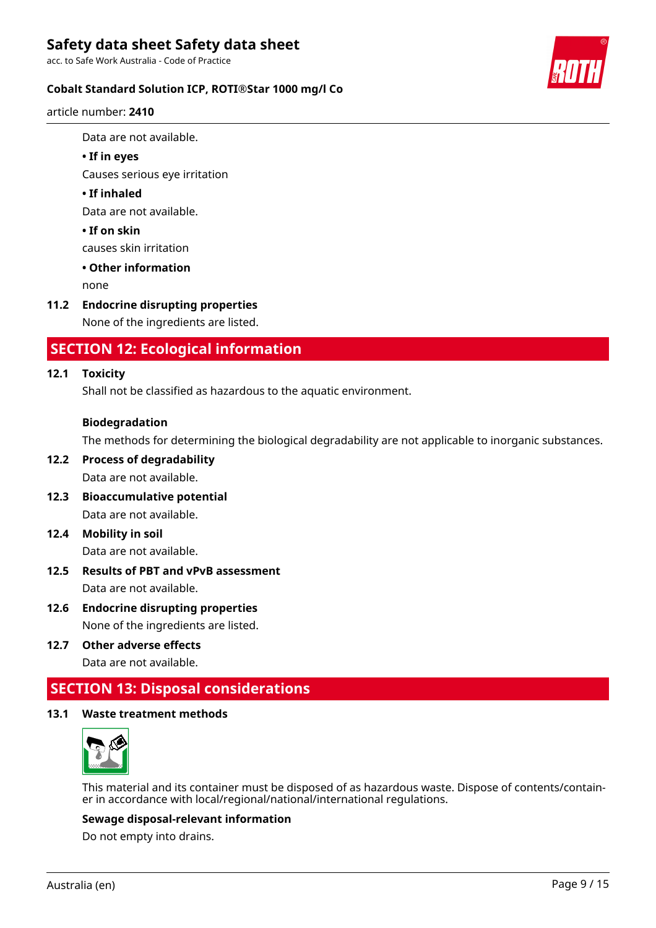acc. to Safe Work Australia - Code of Practice

### **Cobalt Standard Solution ICP, ROTI®Star 1000 mg/l Co**

article number: **2410**

Data are not available.

#### **• If in eyes**

Causes serious eye irritation

#### **• If inhaled**

Data are not available.

### **• If on skin**

causes skin irritation

### **• Other information**

none

### **11.2 Endocrine disrupting properties**

None of the ingredients are listed.

# **SECTION 12: Ecological information**

#### **12.1 Toxicity**

Shall not be classified as hazardous to the aquatic environment.

#### **Biodegradation**

The methods for determining the biological degradability are not applicable to inorganic substances.

# **12.2 Process of degradability**

Data are not available.

- **12.3 Bioaccumulative potential** Data are not available.
- **12.4 Mobility in soil**

Data are not available.

- **12.5 Results of PBT and vPvB assessment** Data are not available.
- **12.6 Endocrine disrupting properties** None of the ingredients are listed.
- **12.7 Other adverse effects** Data are not available.

# **SECTION 13: Disposal considerations**

#### **13.1 Waste treatment methods**



This material and its container must be disposed of as hazardous waste. Dispose of contents/container in accordance with local/regional/national/international regulations.

#### **Sewage disposal-relevant information**

Do not empty into drains.

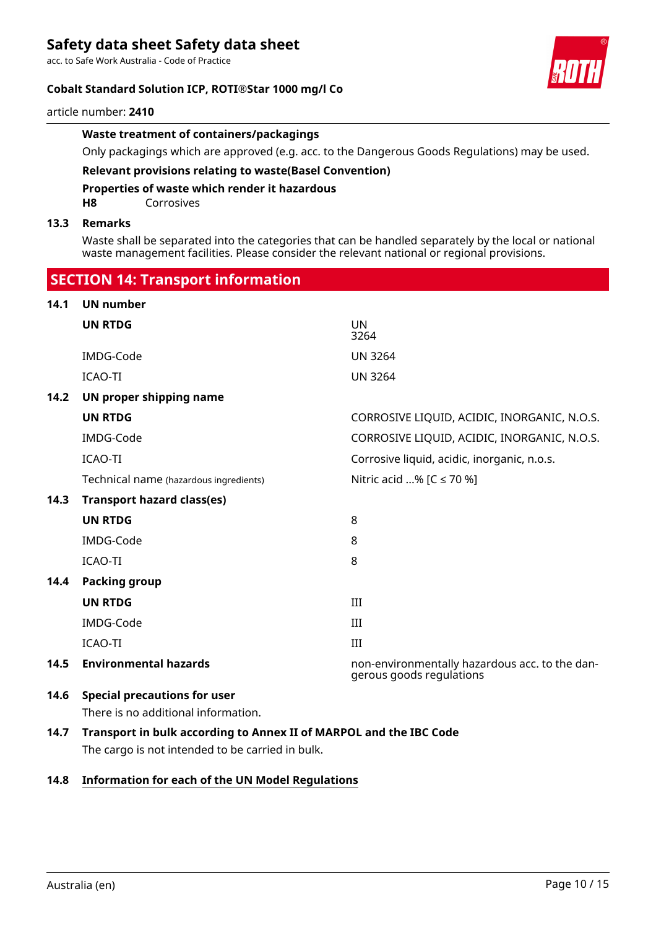acc. to Safe Work Australia - Code of Practice

### **Cobalt Standard Solution ICP, ROTI®Star 1000 mg/l Co**

#### article number: **2410**

#### **Waste treatment of containers/packagings**

Only packagings which are approved (e.g. acc. to the Dangerous Goods Regulations) may be used.

# **Relevant provisions relating to waste(Basel Convention)**

### **Properties of waste which render it hazardous**

**H8** Corrosives

#### **13.3 Remarks**

Waste shall be separated into the categories that can be handled separately by the local or national waste management facilities. Please consider the relevant national or regional provisions.

# **SECTION 14: Transport information 14.1 UN number UN RTDG** UN 3264 IMDG-Code UN 3264 ICAO-TI UN 3264 **14.2 UN proper shipping name UN RTDG** CORROSIVE LIQUID, ACIDIC, INORGANIC, N.O.S. IMDG-Code CORROSIVE LIQUID, ACIDIC, INORGANIC, N.O.S. ICAO-TI CAO-TI CONSEQUENTE CONSEQUENCE CONSEQUENCE CONSEQUENCE CONSEQUENCE CONSEQUENCE CONSEQUENCE CONSEQUENCE Technical name (hazardous ingredients) Nitric acid ...%  $IC \le 70$  %] **14.3 Transport hazard class(es) UN RTDG** 8 IMDG-Code 8 ICAO-TI 8 **14.4 Packing group UN RTDG** III IMDG-Code III ICAO-TI III **14.5 Environmental hazards** non-environmentally hazardous acc. to the dangerous goods regulations **14.6 Special precautions for user** There is no additional information. **14.7 Transport in bulk according to Annex II of MARPOL and the IBC Code**

The cargo is not intended to be carried in bulk.

### **14.8 Information for each of the UN Model Regulations**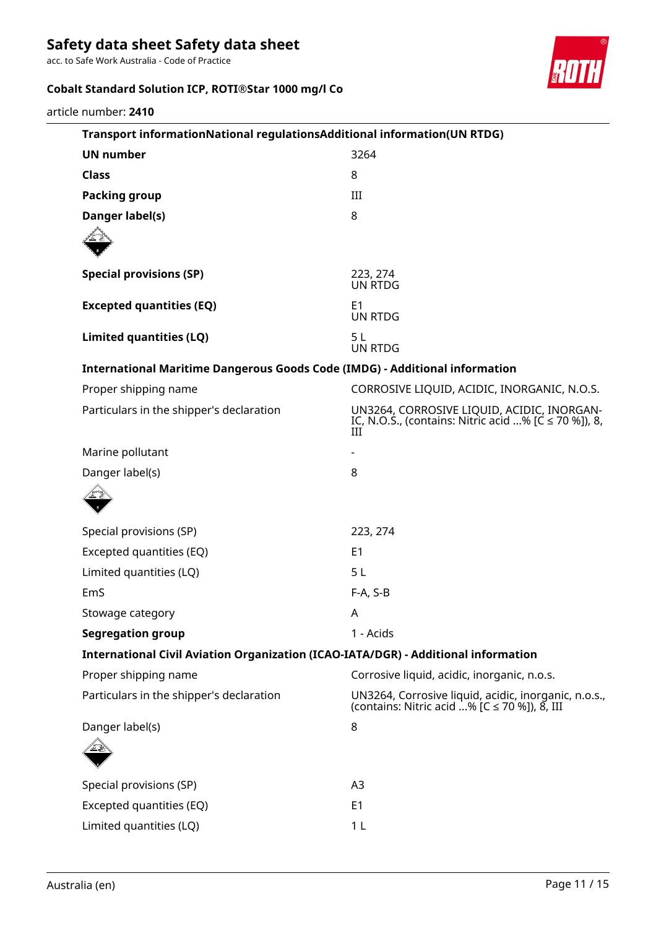acc. to Safe Work Australia - Code of Practice

# **Cobalt Standard Solution ICP, ROTI®Star 1000 mg/l Co**



article number: **2410**

| Transport informationNational regulationsAdditional information(UN RTDG)           |                                                                                                           |
|------------------------------------------------------------------------------------|-----------------------------------------------------------------------------------------------------------|
| <b>UN number</b>                                                                   | 3264                                                                                                      |
| <b>Class</b>                                                                       | 8                                                                                                         |
| <b>Packing group</b>                                                               | III                                                                                                       |
| Danger label(s)                                                                    | 8                                                                                                         |
|                                                                                    |                                                                                                           |
| <b>Special provisions (SP)</b>                                                     | 223, 274<br>UN RTDG                                                                                       |
| <b>Excepted quantities (EQ)</b>                                                    | E <sub>1</sub><br><b>UN RTDG</b>                                                                          |
| <b>Limited quantities (LQ)</b>                                                     | 5L<br><b>UN RTDG</b>                                                                                      |
| <b>International Maritime Dangerous Goods Code (IMDG) - Additional information</b> |                                                                                                           |
| Proper shipping name                                                               | CORROSIVE LIQUID, ACIDIC, INORGANIC, N.O.S.                                                               |
| Particulars in the shipper's declaration                                           | UN3264, CORROSIVE LIQUID, ACIDIC, INORGAN-<br>IC, N.O.S., (contains: Nitric acid % [C ≤ 70 %]), 8,<br>III |
| Marine pollutant                                                                   |                                                                                                           |
| Danger label(s)                                                                    | 8                                                                                                         |
| Special provisions (SP)                                                            | 223, 274                                                                                                  |
| Excepted quantities (EQ)                                                           | E <sub>1</sub>                                                                                            |
| Limited quantities (LQ)                                                            | 5 <sub>L</sub>                                                                                            |
| EmS                                                                                | $F-A, S-B$                                                                                                |
| Stowage category                                                                   | Α                                                                                                         |
| <b>Segregation group</b>                                                           | 1 - Acids                                                                                                 |
| International Civil Aviation Organization (ICAO-IATA/DGR) - Additional information |                                                                                                           |
| Proper shipping name                                                               | Corrosive liquid, acidic, inorganic, n.o.s.                                                               |
| Particulars in the shipper's declaration                                           | UN3264, Corrosive liquid, acidic, inorganic, n.o.s.,<br>(contains: Nitric acid % [C $\leq$ 70 %]), 8, III |
| Danger label(s)                                                                    | 8                                                                                                         |
|                                                                                    |                                                                                                           |
| Special provisions (SP)                                                            | A <sub>3</sub>                                                                                            |
| Excepted quantities (EQ)                                                           | E <sub>1</sub>                                                                                            |
| Limited quantities (LQ)                                                            | 1 <sub>L</sub>                                                                                            |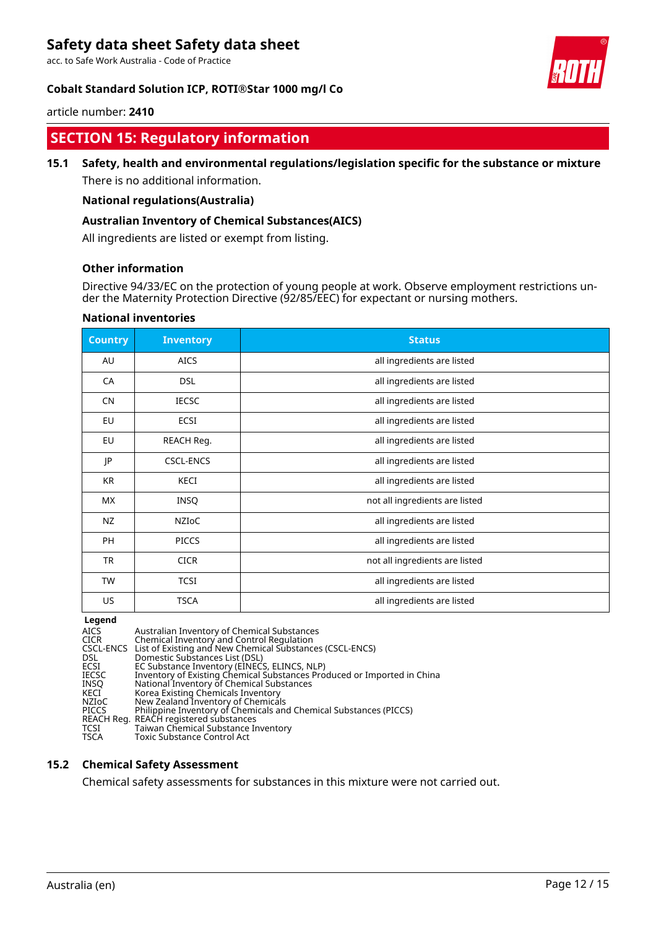acc. to Safe Work Australia - Code of Practice

### **Cobalt Standard Solution ICP, ROTI®Star 1000 mg/l Co**



article number: **2410**

# **SECTION 15: Regulatory information**

# **15.1 Safety, health and environmental regulations/legislation specific for the substance or mixture**

There is no additional information.

#### **National regulations(Australia)**

#### **Australian Inventory of Chemical Substances(AICS)**

All ingredients are listed or exempt from listing.

#### **Other information**

Directive 94/33/EC on the protection of young people at work. Observe employment restrictions under the Maternity Protection Directive (92/85/EEC) for expectant or nursing mothers.

| <b>Country</b> | <b>Inventory</b> | <b>Status</b>                  |
|----------------|------------------|--------------------------------|
| AU             | <b>AICS</b>      | all ingredients are listed     |
| CA             | <b>DSL</b>       | all ingredients are listed     |
| <b>CN</b>      | <b>IECSC</b>     | all ingredients are listed     |
| EU             | ECSI             | all ingredients are listed     |
| <b>EU</b>      | REACH Reg.       | all ingredients are listed     |
| JP             | <b>CSCL-ENCS</b> | all ingredients are listed     |
| KR             | KECI             | all ingredients are listed     |
| МX             | <b>INSQ</b>      | not all ingredients are listed |
| NZ             | NZIoC            | all ingredients are listed     |
| PH             | <b>PICCS</b>     | all ingredients are listed     |
| <b>TR</b>      | <b>CICR</b>      | not all ingredients are listed |
| <b>TW</b>      | <b>TCSI</b>      | all ingredients are listed     |
| US             | <b>TSCA</b>      | all ingredients are listed     |

#### **National inventories**

**Legend**<br>AICS<br>CICR AICS Australian Inventory of Chemical Substances CICR Chemical Inventory and Control Regulation CSCL-ENCS List of Existing and New Chemical Substances (CSCL-ENCS) DSL Domestic Substances List (DSL) ECSI EC Substance Inventory (EINECS, ELINCS, NLP) IECSC Inventory of Existing Chemical Substances Produced or Imported in China INSQ National Inventory of Chemical Substances KECI Korea Existing Chemicals Inventory NZIoC New Zealand Inventory of Chemicals PICCS Philippine Inventory of Chemicals and Chemical Substances (PICCS) REACH Reg. REACH registered substances TCSI Taiwan Chemical Substance Inventory<br>TSCA Toxic Substance Control Act Toxic Substance Control Act

#### **15.2 Chemical Safety Assessment**

Chemical safety assessments for substances in this mixture were not carried out.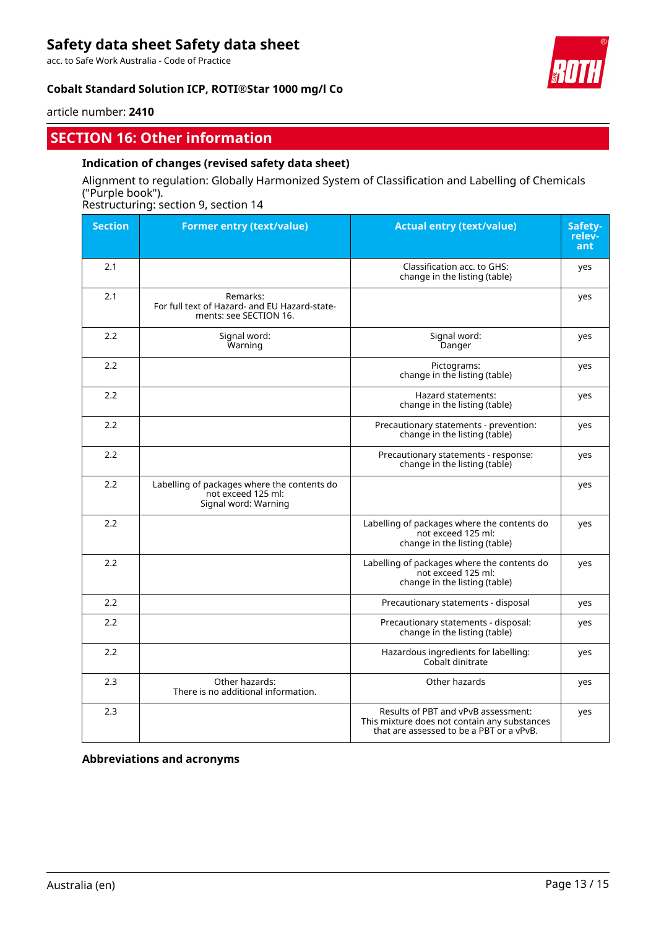acc. to Safe Work Australia - Code of Practice

### **Cobalt Standard Solution ICP, ROTI®Star 1000 mg/l Co**



article number: **2410**

# **SECTION 16: Other information**

### **Indication of changes (revised safety data sheet)**

## Alignment to regulation: Globally Harmonized System of Classification and Labelling of Chemicals ("Purple book").

Restructuring: section 9, section 14

| <b>Section</b> | <b>Former entry (text/value)</b>                                                          | <b>Actual entry (text/value)</b>                                                                                                | Safety-<br>relev-<br>ant |
|----------------|-------------------------------------------------------------------------------------------|---------------------------------------------------------------------------------------------------------------------------------|--------------------------|
| 2.1            |                                                                                           | Classification acc. to GHS:<br>change in the listing (table)                                                                    | yes                      |
| 2.1            | Remarks:<br>For full text of Hazard- and EU Hazard-state-<br>ments: see SECTION 16.       |                                                                                                                                 | yes                      |
| 2.2            | Signal word:<br>Warning                                                                   | Signal word:<br>Danger                                                                                                          | yes                      |
| 2.2            |                                                                                           | Pictograms:<br>change in the listing (table)                                                                                    | yes                      |
| 2.2            |                                                                                           | Hazard statements:<br>change in the listing (table)                                                                             | yes                      |
| 2.2            |                                                                                           | Precautionary statements - prevention:<br>change in the listing (table)                                                         | yes                      |
| 2.2            |                                                                                           | Precautionary statements - response:<br>change in the listing (table)                                                           | yes                      |
| 2.2            | Labelling of packages where the contents do<br>not exceed 125 ml:<br>Signal word: Warning |                                                                                                                                 | yes                      |
| 2.2            |                                                                                           | Labelling of packages where the contents do<br>not exceed 125 ml:<br>change in the listing (table)                              | yes                      |
| 2.2            |                                                                                           | Labelling of packages where the contents do<br>not exceed 125 ml:<br>change in the listing (table)                              | yes                      |
| 2.2            |                                                                                           | Precautionary statements - disposal                                                                                             | yes                      |
| 2.2            |                                                                                           | Precautionary statements - disposal:<br>change in the listing (table)                                                           | yes                      |
| 2.2            |                                                                                           | Hazardous ingredients for labelling:<br>Cobalt dinitrate                                                                        | yes                      |
| 2.3            | Other hazards:<br>There is no additional information.                                     | Other hazards                                                                                                                   | yes                      |
| 2.3            |                                                                                           | Results of PBT and vPvB assessment:<br>This mixture does not contain any substances<br>that are assessed to be a PBT or a vPvB. | yes                      |

**Abbreviations and acronyms**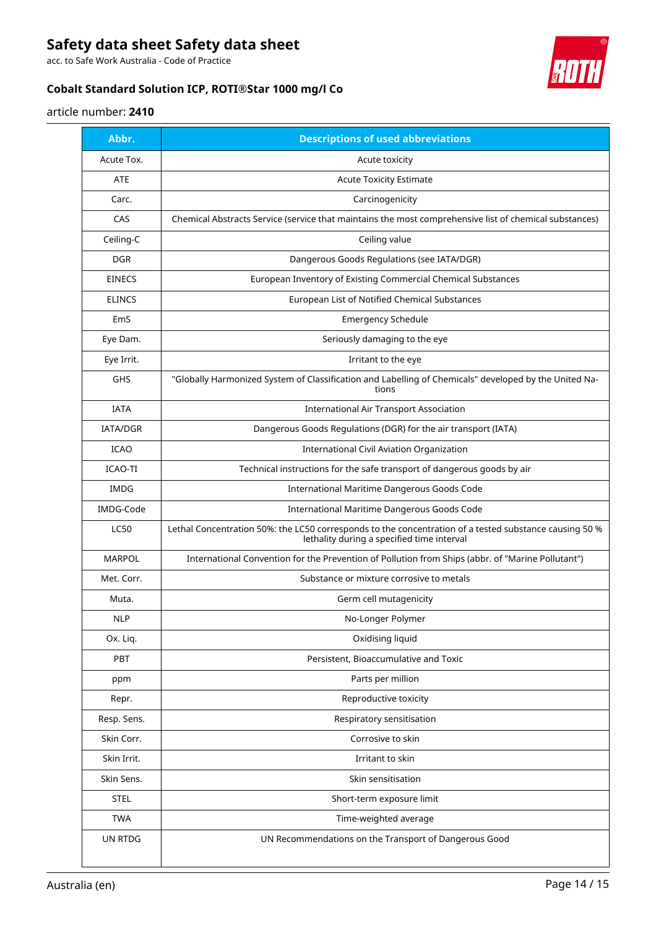acc. to Safe Work Australia - Code of Practice

# **Cobalt Standard Solution ICP, ROTI®Star 1000 mg/l Co**



# article number: **2410**

| Abbr.         | <b>Descriptions of used abbreviations</b>                                                                                                            |
|---------------|------------------------------------------------------------------------------------------------------------------------------------------------------|
| Acute Tox.    | Acute toxicity                                                                                                                                       |
| ATE           | <b>Acute Toxicity Estimate</b>                                                                                                                       |
| Carc.         | Carcinogenicity                                                                                                                                      |
| CAS           | Chemical Abstracts Service (service that maintains the most comprehensive list of chemical substances)                                               |
| Ceiling-C     | Ceiling value                                                                                                                                        |
| <b>DGR</b>    | Dangerous Goods Regulations (see IATA/DGR)                                                                                                           |
| <b>EINECS</b> | European Inventory of Existing Commercial Chemical Substances                                                                                        |
| <b>ELINCS</b> | European List of Notified Chemical Substances                                                                                                        |
| EmS           | <b>Emergency Schedule</b>                                                                                                                            |
| Eye Dam.      | Seriously damaging to the eye                                                                                                                        |
| Eye Irrit.    | Irritant to the eye                                                                                                                                  |
| GHS           | "Globally Harmonized System of Classification and Labelling of Chemicals" developed by the United Na-<br>tions                                       |
| <b>IATA</b>   | <b>International Air Transport Association</b>                                                                                                       |
| IATA/DGR      | Dangerous Goods Regulations (DGR) for the air transport (IATA)                                                                                       |
| <b>ICAO</b>   | International Civil Aviation Organization                                                                                                            |
| ICAO-TI       | Technical instructions for the safe transport of dangerous goods by air                                                                              |
| <b>IMDG</b>   | International Maritime Dangerous Goods Code                                                                                                          |
| IMDG-Code     | International Maritime Dangerous Goods Code                                                                                                          |
| <b>LC50</b>   | Lethal Concentration 50%: the LC50 corresponds to the concentration of a tested substance causing 50 %<br>lethality during a specified time interval |
| <b>MARPOL</b> | International Convention for the Prevention of Pollution from Ships (abbr. of "Marine Pollutant")                                                    |
| Met. Corr.    | Substance or mixture corrosive to metals                                                                                                             |
| Muta.         | Germ cell mutagenicity                                                                                                                               |
| <b>NLP</b>    | No-Longer Polymer                                                                                                                                    |
| Ox. Liq.      | Oxidising liquid                                                                                                                                     |
| PBT           | Persistent, Bioaccumulative and Toxic                                                                                                                |
| ppm           | Parts per million                                                                                                                                    |
| Repr.         | Reproductive toxicity                                                                                                                                |
| Resp. Sens.   | Respiratory sensitisation                                                                                                                            |
| Skin Corr.    | Corrosive to skin                                                                                                                                    |
| Skin Irrit.   | Irritant to skin                                                                                                                                     |
| Skin Sens.    | Skin sensitisation                                                                                                                                   |
| <b>STEL</b>   | Short-term exposure limit                                                                                                                            |
| <b>TWA</b>    | Time-weighted average                                                                                                                                |
| UN RTDG       | UN Recommendations on the Transport of Dangerous Good                                                                                                |